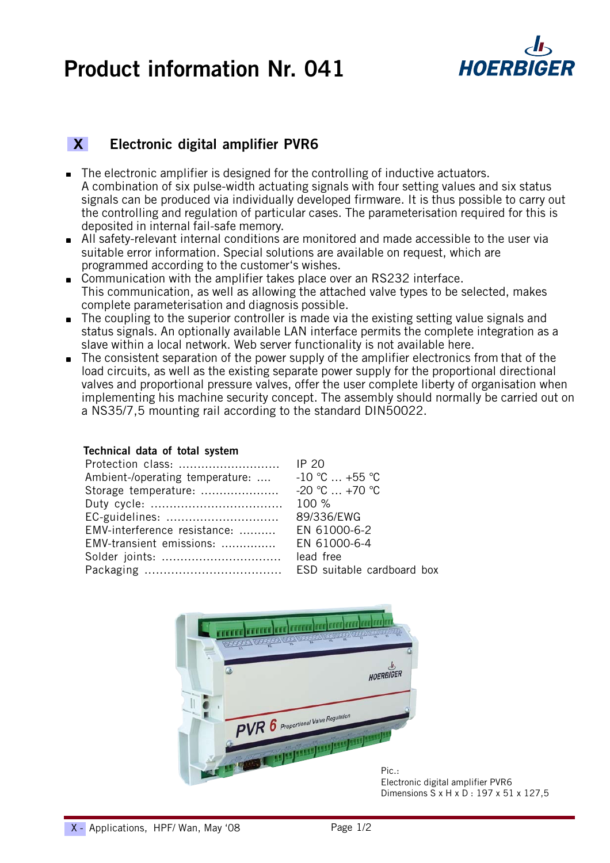# **Product information Nr. 041**



### **X Electronic digital amplifier PVR6**

- The electronic amplifier is designed for the controlling of inductive actuators. A combination of six pulse-width actuating signals with four setting values and six status signals can be produced via individually developed firmware. It is thus possible to carry out the controlling and regulation of particular cases. The parameterisation required for this is deposited in internal fail-safe memory.
- All safety-relevant internal conditions are monitored and made accessible to the user via suitable error information. Special solutions are available on request, which are programmed according to the customer's wishes.
- Communication with the amplifier takes place over an RS232 interface. This communication, as well as allowing the attached valve types to be selected, makes complete parameterisation and diagnosis possible.
- The coupling to the superior controller is made via the existing setting value signals and status signals. An optionally available LAN interface permits the complete integration as a slave within a local network. Web server functionality is not available here.
- The consistent separation of the power supply of the amplifier electronics from that of the load circuits, as well as the existing separate power supply for the proportional directional valves and proportional pressure valves, offer the user complete liberty of organisation when implementing his machine security concept. The assembly should normally be carried out on a NS35/7,5 mounting rail according to the standard DIN50022.

#### **Technical data of total system**

| Ambient-/operating temperature: $-10$ °C  +55 °C |            |
|--------------------------------------------------|------------|
|                                                  |            |
|                                                  |            |
| EC-guidelines:                                   | 89/336/EWG |
| EMV-interference resistance:  EN 61000-6-2       |            |
| EMV-transient emissions:  EN 61000-6-4           |            |
|                                                  | lead free  |
|                                                  |            |



Electronic digital amplifier PVR6 Dimensions S x H x D : 197 x 51 x 127,5